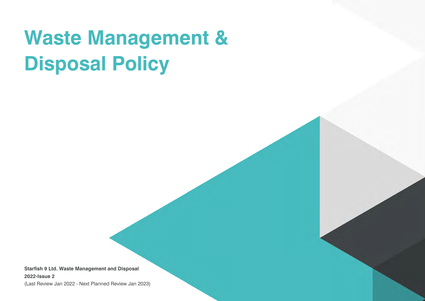## **Waste Management & Disposal Policy**

**Starfish 9 Ltd. Waste Management and Disposal 2022-Issue 2** 

(Last Review Jan 2022 - Next Planned Review Jan 2023)